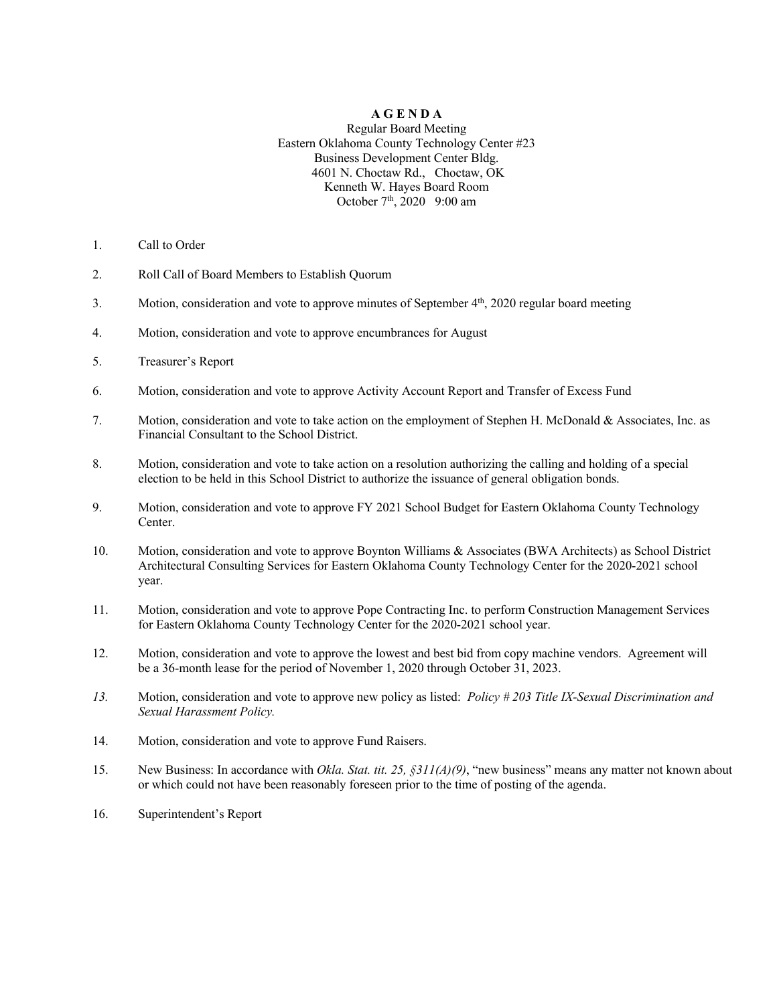### **A G E N D A**

#### Regular Board Meeting Eastern Oklahoma County Technology Center #23 Business Development Center Bldg. 4601 N. Choctaw Rd., Choctaw, OK Kenneth W. Hayes Board Room October 7<sup>th</sup>, 2020 9:00 am

- 1. Call to Order
- 2. Roll Call of Board Members to Establish Quorum
- 3. Motion, consideration and vote to approve minutes of September  $4<sup>th</sup>$ , 2020 regular board meeting
- 4. Motion, consideration and vote to approve encumbrances for August
- 5. Treasurer's Report
- 6. Motion, consideration and vote to approve Activity Account Report and Transfer of Excess Fund
- 7. Motion, consideration and vote to take action on the employment of Stephen H. McDonald & Associates, Inc. as Financial Consultant to the School District.
- 8. Motion, consideration and vote to take action on a resolution authorizing the calling and holding of a special election to be held in this School District to authorize the issuance of general obligation bonds.
- 9. Motion, consideration and vote to approve FY 2021 School Budget for Eastern Oklahoma County Technology Center.
- 10. Motion, consideration and vote to approve Boynton Williams & Associates (BWA Architects) as School District Architectural Consulting Services for Eastern Oklahoma County Technology Center for the 2020-2021 school year.
- 11. Motion, consideration and vote to approve Pope Contracting Inc. to perform Construction Management Services for Eastern Oklahoma County Technology Center for the 2020-2021 school year.
- 12. Motion, consideration and vote to approve the lowest and best bid from copy machine vendors. Agreement will be a 36-month lease for the period of November 1, 2020 through October 31, 2023.
- *13.* Motion, consideration and vote to approve new policy as listed: *Policy # 203 Title IX-Sexual Discrimination and Sexual Harassment Policy.*
- 14. Motion, consideration and vote to approve Fund Raisers.
- 15. New Business: In accordance with *Okla. Stat. tit. 25, §311(A)(9)*, "new business" means any matter not known about or which could not have been reasonably foreseen prior to the time of posting of the agenda.
- 16. Superintendent's Report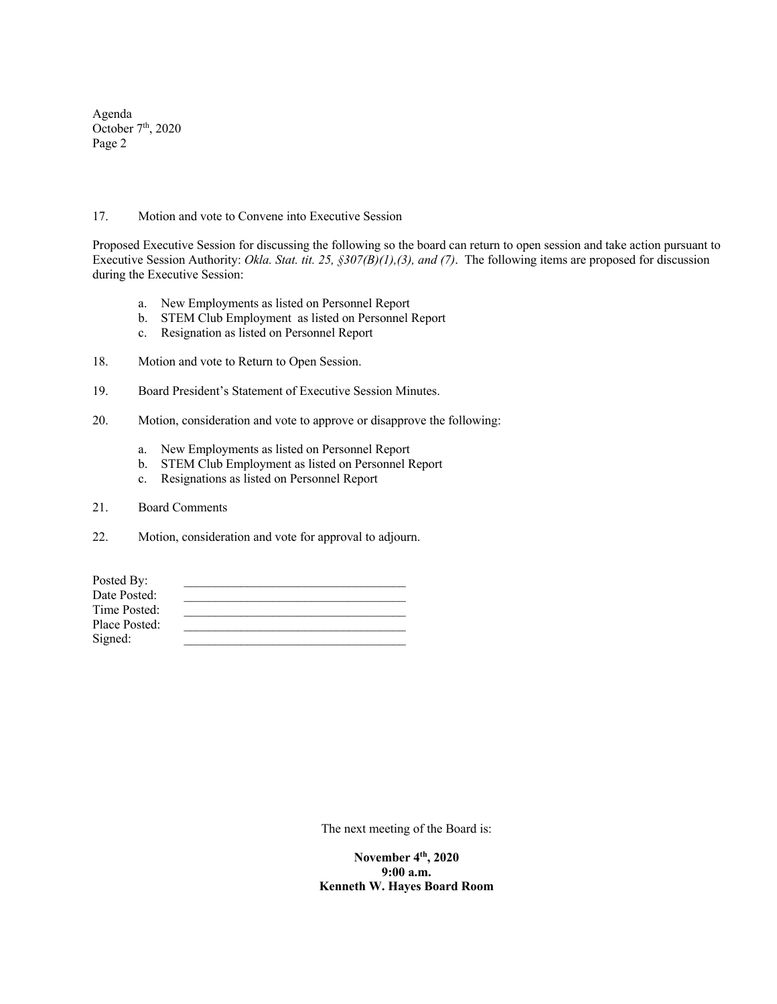Agenda October  $7<sup>th</sup>$ , 2020 Page 2

#### 17. Motion and vote to Convene into Executive Session

Proposed Executive Session for discussing the following so the board can return to open session and take action pursuant to Executive Session Authority: *Okla. Stat. tit. 25, §307(B)(1),(3), and (7)*. The following items are proposed for discussion during the Executive Session:

- a. New Employments as listed on Personnel Report
- b. STEM Club Employment as listed on Personnel Report
- c. Resignation as listed on Personnel Report
- 18. Motion and vote to Return to Open Session.
- 19. Board President's Statement of Executive Session Minutes.
- 20. Motion, consideration and vote to approve or disapprove the following:
	- a. New Employments as listed on Personnel Report
	- b. STEM Club Employment as listed on Personnel Report
	- c. Resignations as listed on Personnel Report
- 21. Board Comments
- 22. Motion, consideration and vote for approval to adjourn.

| Posted By:    |  |
|---------------|--|
| Date Posted:  |  |
| Time Posted:  |  |
| Place Posted: |  |
| Signed:       |  |
|               |  |

The next meeting of the Board is:

**November 4th, 2020 9:00 a.m. Kenneth W. Hayes Board Room**